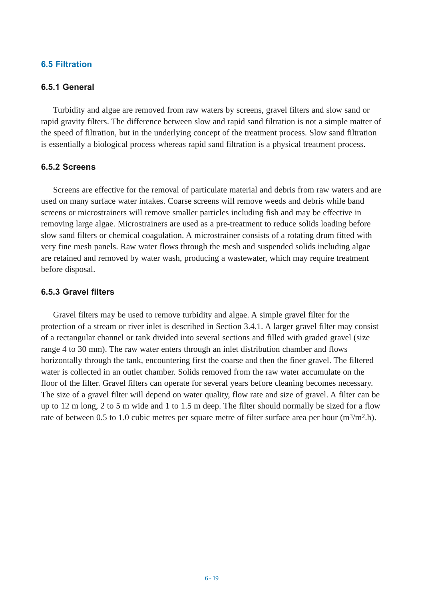### **6.5 Filtration**

## **6.5.1 General**

Turbidity and algae are removed from raw waters by screens, gravel filters and slow sand or rapid gravity filters. The difference between slow and rapid sand filtration is not a simple matter of the speed of filtration, but in the underlying concept of the treatment process. Slow sand filtration is essentially a biological process whereas rapid sand filtration is a physical treatment process.

### **6.5.2 Screens**

Screens are effective for the removal of particulate material and debris from raw waters and are used on many surface water intakes. Coarse screens will remove weeds and debris while band screens or microstrainers will remove smaller particles including fish and may be effective in removing large algae. Microstrainers are used as a pre-treatment to reduce solids loading before slow sand filters or chemical coagulation. A microstrainer consists of a rotating drum fitted with very fine mesh panels. Raw water flows through the mesh and suspended solids including algae are retained and removed by water wash, producing a wastewater, which may require treatment before disposal.

## **6.5.3 Gravel filters**

Gravel filters may be used to remove turbidity and algae. A simple gravel filter for the protection of a stream or river inlet is described in Section 3.4.1. A larger gravel filter may consist of a rectangular channel or tank divided into several sections and filled with graded gravel (size range 4 to 30 mm). The raw water enters through an inlet distribution chamber and flows horizontally through the tank, encountering first the coarse and then the finer gravel. The filtered water is collected in an outlet chamber. Solids removed from the raw water accumulate on the floor of the filter. Gravel filters can operate for several years before cleaning becomes necessary. The size of a gravel filter will depend on water quality, flow rate and size of gravel. A filter can be up to 12 m long, 2 to 5 m wide and 1 to 1.5 m deep. The filter should normally be sized for a flow rate of between 0.5 to 1.0 cubic metres per square metre of filter surface area per hour  $(m^3/m^2.h)$ .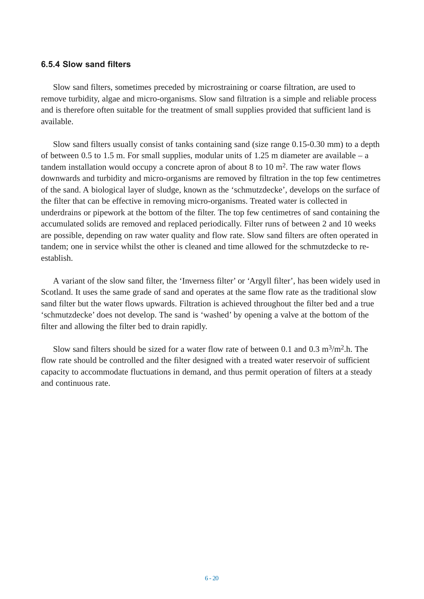#### **6.5.4 Slow sand filters**

Slow sand filters, sometimes preceded by microstraining or coarse filtration, are used to remove turbidity, algae and micro-organisms. Slow sand filtration is a simple and reliable process and is therefore often suitable for the treatment of small supplies provided that sufficient land is available.

Slow sand filters usually consist of tanks containing sand (size range 0.15-0.30 mm) to a depth of between 0.5 to 1.5 m. For small supplies, modular units of 1.25 m diameter are available – a tandem installation would occupy a concrete apron of about 8 to 10  $m<sup>2</sup>$ . The raw water flows downwards and turbidity and micro-organisms are removed by filtration in the top few centimetres of the sand. A biological layer of sludge, known as the 'schmutzdecke', develops on the surface of the filter that can be effective in removing micro-organisms. Treated water is collected in underdrains or pipework at the bottom of the filter. The top few centimetres of sand containing the accumulated solids are removed and replaced periodically. Filter runs of between 2 and 10 weeks are possible, depending on raw water quality and flow rate. Slow sand filters are often operated in tandem; one in service whilst the other is cleaned and time allowed for the schmutzdecke to reestablish.

A variant of the slow sand filter, the 'Inverness filter' or 'Argyll filter', has been widely used in Scotland. It uses the same grade of sand and operates at the same flow rate as the traditional slow sand filter but the water flows upwards. Filtration is achieved throughout the filter bed and a true 'schmutzdecke' does not develop. The sand is 'washed' by opening a valve at the bottom of the filter and allowing the filter bed to drain rapidly.

Slow sand filters should be sized for a water flow rate of between 0.1 and 0.3 m<sup>3</sup>/m<sup>2</sup>.h. The flow rate should be controlled and the filter designed with a treated water reservoir of sufficient capacity to accommodate fluctuations in demand, and thus permit operation of filters at a steady and continuous rate.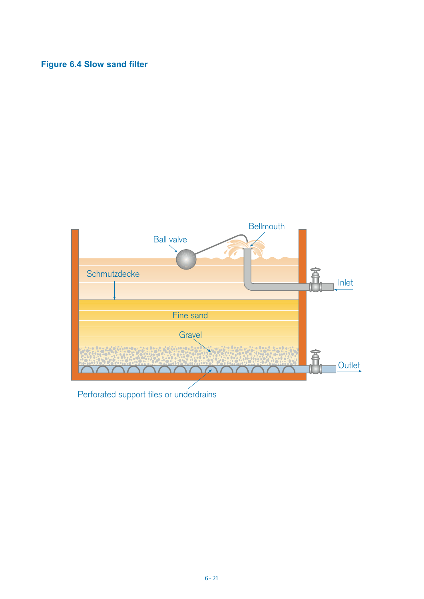# **Figure 6.4 Slow sand filter**



Perforated support tiles or underdrains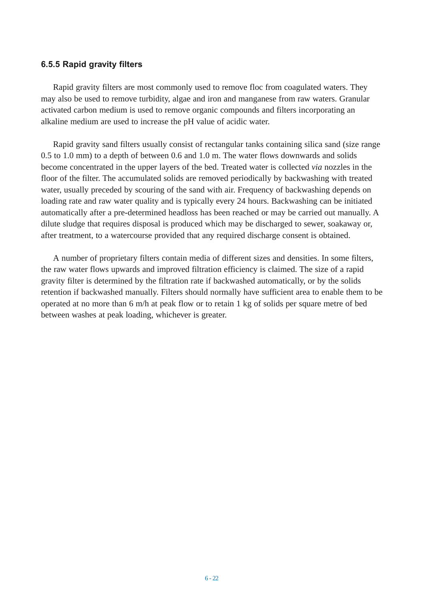#### **6.5.5 Rapid gravity filters**

Rapid gravity filters are most commonly used to remove floc from coagulated waters. They may also be used to remove turbidity, algae and iron and manganese from raw waters. Granular activated carbon medium is used to remove organic compounds and filters incorporating an alkaline medium are used to increase the pH value of acidic water.

Rapid gravity sand filters usually consist of rectangular tanks containing silica sand (size range 0.5 to 1.0 mm) to a depth of between 0.6 and 1.0 m. The water flows downwards and solids become concentrated in the upper layers of the bed. Treated water is collected *via* nozzles in the floor of the filter. The accumulated solids are removed periodically by backwashing with treated water, usually preceded by scouring of the sand with air. Frequency of backwashing depends on loading rate and raw water quality and is typically every 24 hours. Backwashing can be initiated automatically after a pre-determined headloss has been reached or may be carried out manually. A dilute sludge that requires disposal is produced which may be discharged to sewer, soakaway or, after treatment, to a watercourse provided that any required discharge consent is obtained.

A number of proprietary filters contain media of different sizes and densities. In some filters, the raw water flows upwards and improved filtration efficiency is claimed. The size of a rapid gravity filter is determined by the filtration rate if backwashed automatically, or by the solids retention if backwashed manually. Filters should normally have sufficient area to enable them to be operated at no more than 6 m/h at peak flow or to retain 1 kg of solids per square metre of bed between washes at peak loading, whichever is greater.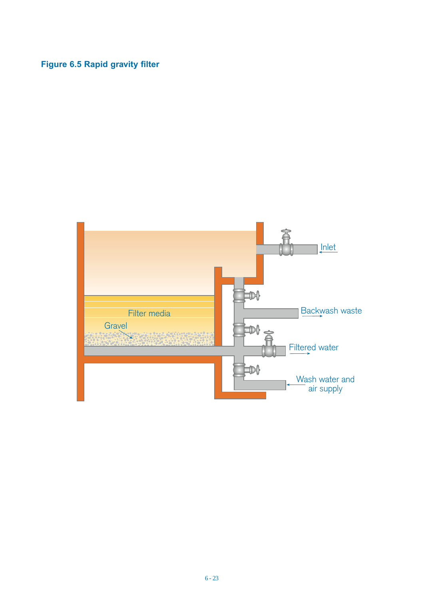# **Figure 6.5 Rapid gravity filter**

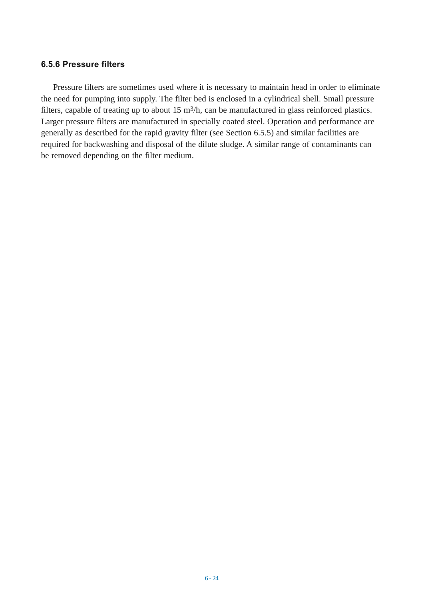### **6.5.6 Pressure filters**

Pressure filters are sometimes used where it is necessary to maintain head in order to eliminate the need for pumping into supply. The filter bed is enclosed in a cylindrical shell. Small pressure filters, capable of treating up to about 15 m<sup>3</sup>/h, can be manufactured in glass reinforced plastics. Larger pressure filters are manufactured in specially coated steel. Operation and performance are generally as described for the rapid gravity filter (see Section 6.5.5) and similar facilities are required for backwashing and disposal of the dilute sludge. A similar range of contaminants can be removed depending on the filter medium.